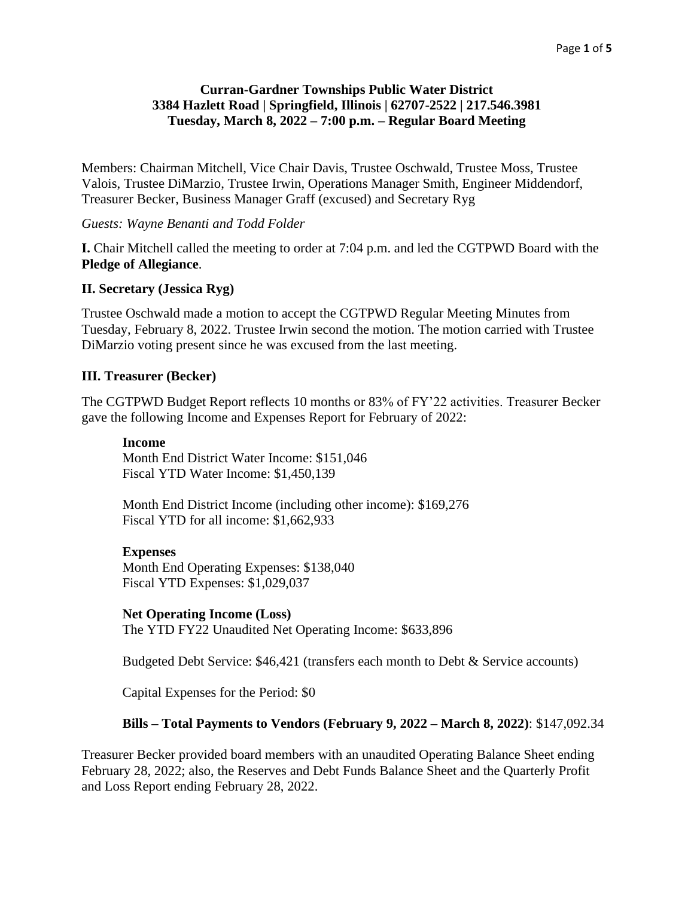## **Curran-Gardner Townships Public Water District 3384 Hazlett Road | Springfield, Illinois | 62707-2522 | 217.546.3981 Tuesday, March 8, 2022 – 7:00 p.m. – Regular Board Meeting**

Members: Chairman Mitchell, Vice Chair Davis, Trustee Oschwald, Trustee Moss, Trustee Valois, Trustee DiMarzio, Trustee Irwin, Operations Manager Smith, Engineer Middendorf, Treasurer Becker, Business Manager Graff (excused) and Secretary Ryg

*Guests: Wayne Benanti and Todd Folder*

**I.** Chair Mitchell called the meeting to order at 7:04 p.m. and led the CGTPWD Board with the **Pledge of Allegiance**.

#### **II. Secretary (Jessica Ryg)**

Trustee Oschwald made a motion to accept the CGTPWD Regular Meeting Minutes from Tuesday, February 8, 2022. Trustee Irwin second the motion. The motion carried with Trustee DiMarzio voting present since he was excused from the last meeting.

#### **III. Treasurer (Becker)**

The CGTPWD Budget Report reflects 10 months or 83% of FY'22 activities. Treasurer Becker gave the following Income and Expenses Report for February of 2022:

#### **Income**

Month End District Water Income: \$151,046 Fiscal YTD Water Income: \$1,450,139

Month End District Income (including other income): \$169,276 Fiscal YTD for all income: \$1,662,933

#### **Expenses**

Month End Operating Expenses: \$138,040 Fiscal YTD Expenses: \$1,029,037

#### **Net Operating Income (Loss)**

The YTD FY22 Unaudited Net Operating Income: \$633,896

Budgeted Debt Service: \$46,421 (transfers each month to Debt & Service accounts)

Capital Expenses for the Period: \$0

#### **Bills – Total Payments to Vendors (February 9, 2022 – March 8, 2022)**: \$147,092.34

Treasurer Becker provided board members with an unaudited Operating Balance Sheet ending February 28, 2022; also, the Reserves and Debt Funds Balance Sheet and the Quarterly Profit and Loss Report ending February 28, 2022.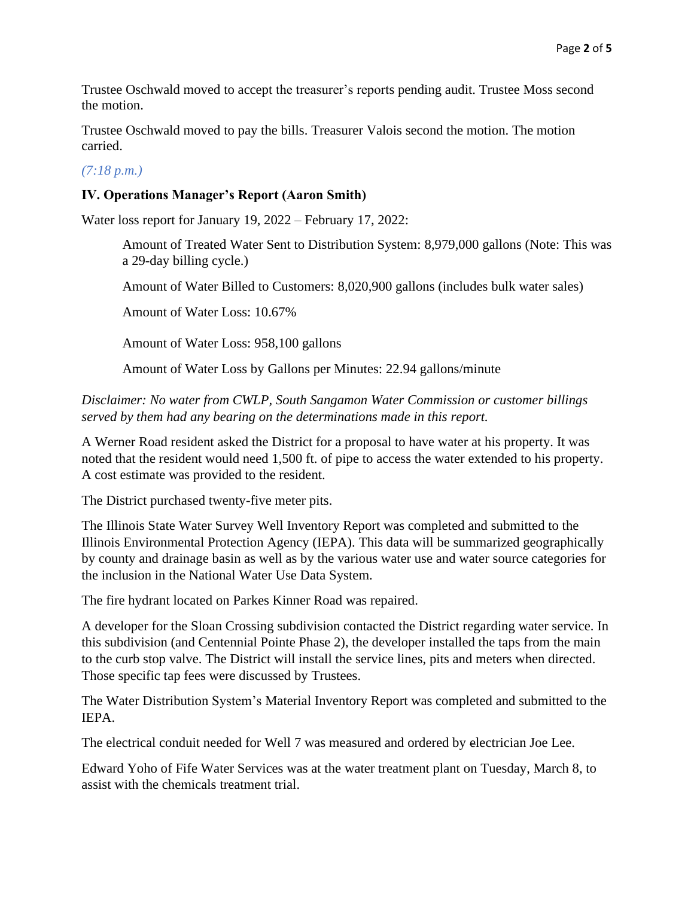Trustee Oschwald moved to accept the treasurer's reports pending audit. Trustee Moss second the motion.

Trustee Oschwald moved to pay the bills. Treasurer Valois second the motion. The motion carried.

## *(7:18 p.m.)*

## **IV. Operations Manager's Report (Aaron Smith)**

Water loss report for January 19, 2022 – February 17, 2022:

Amount of Treated Water Sent to Distribution System: 8,979,000 gallons (Note: This was a 29-day billing cycle.)

Amount of Water Billed to Customers: 8,020,900 gallons (includes bulk water sales)

Amount of Water Loss: 10.67%

Amount of Water Loss: 958,100 gallons

Amount of Water Loss by Gallons per Minutes: 22.94 gallons/minute

*Disclaimer: No water from CWLP, South Sangamon Water Commission or customer billings served by them had any bearing on the determinations made in this report.*

A Werner Road resident asked the District for a proposal to have water at his property. It was noted that the resident would need 1,500 ft. of pipe to access the water extended to his property. A cost estimate was provided to the resident.

The District purchased twenty-five meter pits.

The Illinois State Water Survey Well Inventory Report was completed and submitted to the Illinois Environmental Protection Agency (IEPA). This data will be summarized geographically by county and drainage basin as well as by the various water use and water source categories for the inclusion in the National Water Use Data System.

The fire hydrant located on Parkes Kinner Road was repaired.

A developer for the Sloan Crossing subdivision contacted the District regarding water service. In this subdivision (and Centennial Pointe Phase 2), the developer installed the taps from the main to the curb stop valve. The District will install the service lines, pits and meters when directed. Those specific tap fees were discussed by Trustees.

The Water Distribution System's Material Inventory Report was completed and submitted to the IEPA.

The electrical conduit needed for Well 7 was measured and ordered by electrician Joe Lee.

Edward Yoho of Fife Water Services was at the water treatment plant on Tuesday, March 8, to assist with the chemicals treatment trial.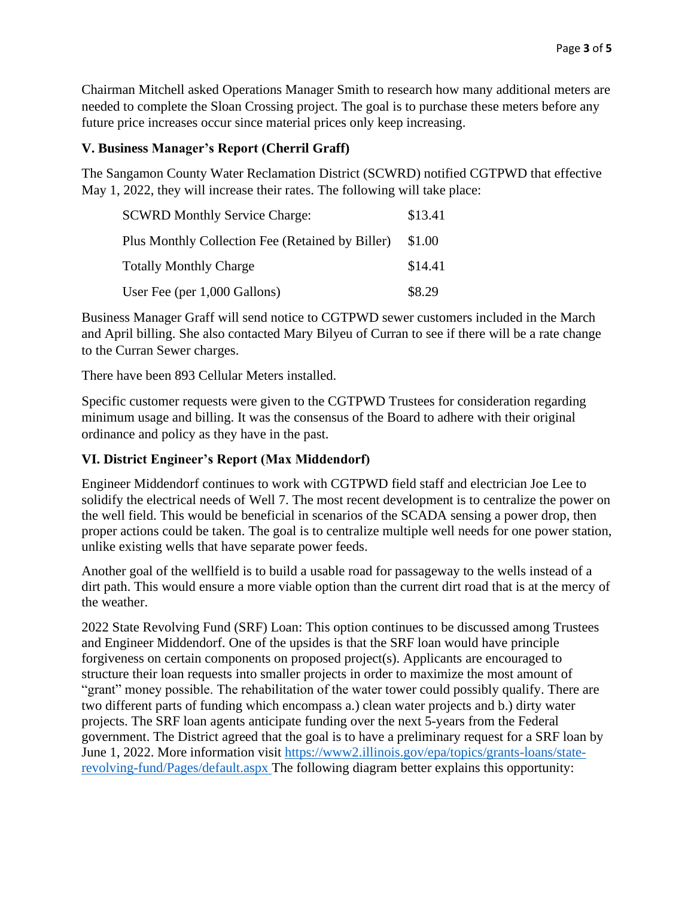Chairman Mitchell asked Operations Manager Smith to research how many additional meters are needed to complete the Sloan Crossing project. The goal is to purchase these meters before any future price increases occur since material prices only keep increasing.

## **V. Business Manager's Report (Cherril Graff)**

The Sangamon County Water Reclamation District (SCWRD) notified CGTPWD that effective May 1, 2022, they will increase their rates. The following will take place:

| <b>SCWRD Monthly Service Charge:</b>             | \$13.41 |
|--------------------------------------------------|---------|
| Plus Monthly Collection Fee (Retained by Biller) | \$1.00  |
| <b>Totally Monthly Charge</b>                    | \$14.41 |
| User Fee (per 1,000 Gallons)                     | \$8.29  |

Business Manager Graff will send notice to CGTPWD sewer customers included in the March and April billing. She also contacted Mary Bilyeu of Curran to see if there will be a rate change to the Curran Sewer charges.

There have been 893 Cellular Meters installed.

Specific customer requests were given to the CGTPWD Trustees for consideration regarding minimum usage and billing. It was the consensus of the Board to adhere with their original ordinance and policy as they have in the past.

# **VI. District Engineer's Report (Max Middendorf)**

Engineer Middendorf continues to work with CGTPWD field staff and electrician Joe Lee to solidify the electrical needs of Well 7. The most recent development is to centralize the power on the well field. This would be beneficial in scenarios of the SCADA sensing a power drop, then proper actions could be taken. The goal is to centralize multiple well needs for one power station, unlike existing wells that have separate power feeds.

Another goal of the wellfield is to build a usable road for passageway to the wells instead of a dirt path. This would ensure a more viable option than the current dirt road that is at the mercy of the weather.

2022 State Revolving Fund (SRF) Loan: This option continues to be discussed among Trustees and Engineer Middendorf. One of the upsides is that the SRF loan would have principle forgiveness on certain components on proposed project(s). Applicants are encouraged to structure their loan requests into smaller projects in order to maximize the most amount of "grant" money possible. The rehabilitation of the water tower could possibly qualify. There are two different parts of funding which encompass a.) clean water projects and b.) dirty water projects. The SRF loan agents anticipate funding over the next 5-years from the Federal government. The District agreed that the goal is to have a preliminary request for a SRF loan by June 1, 2022. More information visit [https://www2.illinois.gov/epa/topics/grants-loans/state](https://www2.illinois.gov/epa/topics/grants-loans/state-revolving-fund/Pages/default.aspx)[revolving-fund/Pages/default.aspx](https://www2.illinois.gov/epa/topics/grants-loans/state-revolving-fund/Pages/default.aspx) The following diagram better explains this opportunity: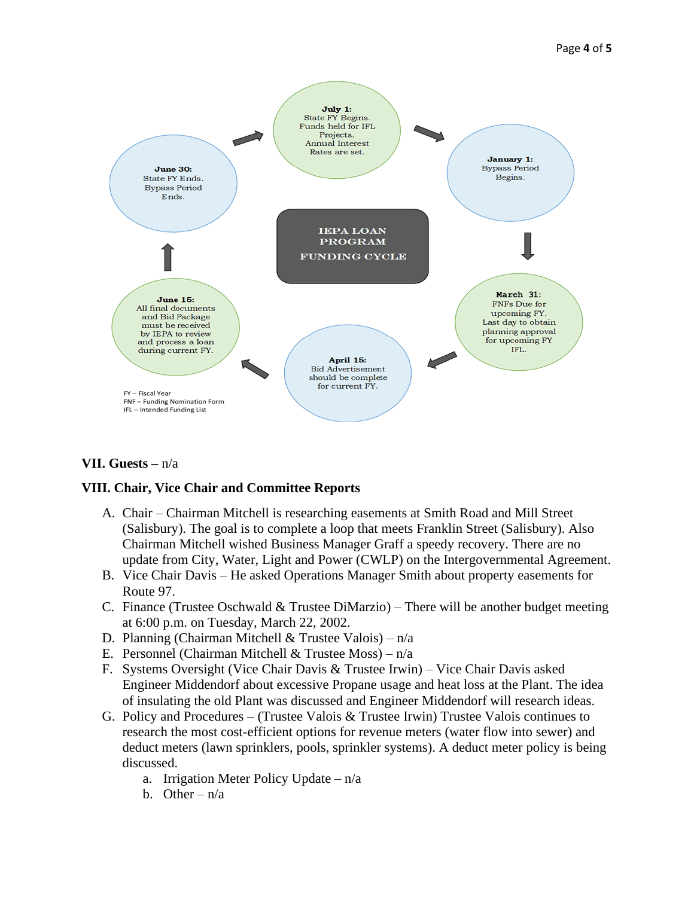

**VII. Guests –** n/a

# **VIII. Chair, Vice Chair and Committee Reports**

- A. Chair Chairman Mitchell is researching easements at Smith Road and Mill Street (Salisbury). The goal is to complete a loop that meets Franklin Street (Salisbury). Also Chairman Mitchell wished Business Manager Graff a speedy recovery. There are no update from City, Water, Light and Power (CWLP) on the Intergovernmental Agreement.
- B. Vice Chair Davis He asked Operations Manager Smith about property easements for Route 97.
- C. Finance (Trustee Oschwald  $&$  Trustee DiMarzio) There will be another budget meeting at 6:00 p.m. on Tuesday, March 22, 2002.
- D. Planning (Chairman Mitchell & Trustee Valois) n/a
- E. Personnel (Chairman Mitchell & Trustee Moss)  $n/a$
- F. Systems Oversight (Vice Chair Davis & Trustee Irwin) Vice Chair Davis asked Engineer Middendorf about excessive Propane usage and heat loss at the Plant. The idea of insulating the old Plant was discussed and Engineer Middendorf will research ideas.
- G. Policy and Procedures (Trustee Valois  $&$  Trustee Irwin) Trustee Valois continues to research the most cost-efficient options for revenue meters (water flow into sewer) and deduct meters (lawn sprinklers, pools, sprinkler systems). A deduct meter policy is being discussed.
	- a. Irrigation Meter Policy Update  $n/a$
	- b. Other  $n/a$